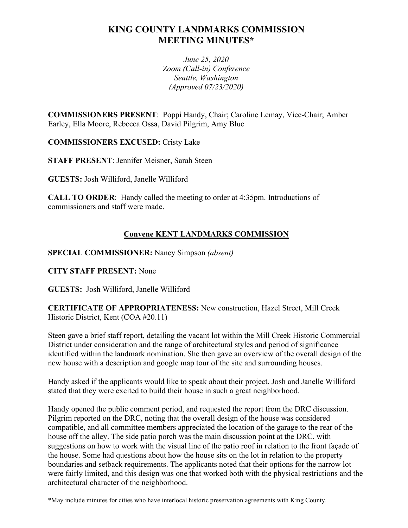# **KING COUNTY LANDMARKS COMMISSION MEETING MINUTES\***

*June 25, 2020 Zoom (Call-in) Conference Seattle, Washington (Approved 07/23/2020)*

**COMMISSIONERS PRESENT**: Poppi Handy, Chair; Caroline Lemay, Vice-Chair; Amber Earley, Ella Moore, Rebecca Ossa, David Pilgrim, Amy Blue

**COMMISSIONERS EXCUSED:** Cristy Lake

**STAFF PRESENT**: Jennifer Meisner, Sarah Steen

**GUESTS:** Josh Williford, Janelle Williford

**CALL TO ORDER**: Handy called the meeting to order at 4:35pm. Introductions of commissioners and staff were made.

## **Convene KENT LANDMARKS COMMISSION**

**SPECIAL COMMISSIONER:** Nancy Simpson *(absent)*

**CITY STAFF PRESENT:** None

**GUESTS:** Josh Williford, Janelle Williford

**CERTIFICATE OF APPROPRIATENESS:** New construction, Hazel Street, Mill Creek Historic District, Kent (COA #20.11)

Steen gave a brief staff report, detailing the vacant lot within the Mill Creek Historic Commercial District under consideration and the range of architectural styles and period of significance identified within the landmark nomination. She then gave an overview of the overall design of the new house with a description and google map tour of the site and surrounding houses.

Handy asked if the applicants would like to speak about their project. Josh and Janelle Williford stated that they were excited to build their house in such a great neighborhood.

Handy opened the public comment period, and requested the report from the DRC discussion. Pilgrim reported on the DRC, noting that the overall design of the house was considered compatible, and all committee members appreciated the location of the garage to the rear of the house off the alley. The side patio porch was the main discussion point at the DRC, with suggestions on how to work with the visual line of the patio roof in relation to the front façade of the house. Some had questions about how the house sits on the lot in relation to the property boundaries and setback requirements. The applicants noted that their options for the narrow lot were fairly limited, and this design was one that worked both with the physical restrictions and the architectural character of the neighborhood.

\*May include minutes for cities who have interlocal historic preservation agreements with King County.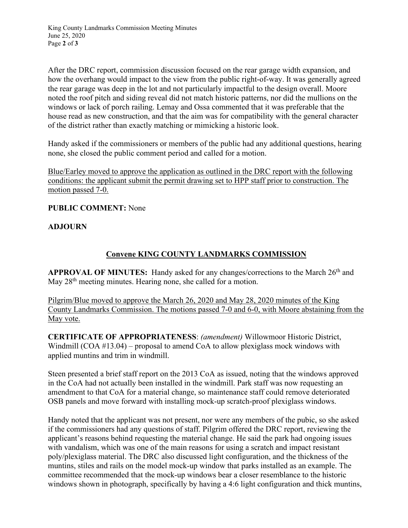King County Landmarks Commission Meeting Minutes June 25, 2020 Page **2** of **3**

After the DRC report, commission discussion focused on the rear garage width expansion, and how the overhang would impact to the view from the public right-of-way. It was generally agreed the rear garage was deep in the lot and not particularly impactful to the design overall. Moore noted the roof pitch and siding reveal did not match historic patterns, nor did the mullions on the windows or lack of porch railing. Lemay and Ossa commented that it was preferable that the house read as new construction, and that the aim was for compatibility with the general character of the district rather than exactly matching or mimicking a historic look.

Handy asked if the commissioners or members of the public had any additional questions, hearing none, she closed the public comment period and called for a motion.

Blue/Earley moved to approve the application as outlined in the DRC report with the following conditions: the applicant submit the permit drawing set to HPP staff prior to construction. The motion passed 7-0.

**PUBLIC COMMENT:** None

#### **ADJOURN**

### **Convene KING COUNTY LANDMARKS COMMISSION**

APPROVAL OF MINUTES: Handy asked for any changes/corrections to the March 26<sup>th</sup> and May 28<sup>th</sup> meeting minutes. Hearing none, she called for a motion.

Pilgrim/Blue moved to approve the March 26, 2020 and May 28, 2020 minutes of the King County Landmarks Commission. The motions passed 7-0 and 6-0, with Moore abstaining from the May vote.

**CERTIFICATE OF APPROPRIATENESS**: *(amendment)* Willowmoor Historic District, Windmill (COA #13.04) – proposal to amend CoA to allow plexiglass mock windows with applied muntins and trim in windmill.

Steen presented a brief staff report on the 2013 CoA as issued, noting that the windows approved in the CoA had not actually been installed in the windmill. Park staff was now requesting an amendment to that CoA for a material change, so maintenance staff could remove deteriorated OSB panels and move forward with installing mock-up scratch-proof plexiglass windows.

Handy noted that the applicant was not present, nor were any members of the pubic, so she asked if the commissioners had any questions of staff. Pilgrim offered the DRC report, reviewing the applicant's reasons behind requesting the material change. He said the park had ongoing issues with vandalism, which was one of the main reasons for using a scratch and impact resistant poly/plexiglass material. The DRC also discussed light configuration, and the thickness of the muntins, stiles and rails on the model mock-up window that parks installed as an example. The committee recommended that the mock-up windows bear a closer resemblance to the historic windows shown in photograph, specifically by having a 4:6 light configuration and thick muntins,